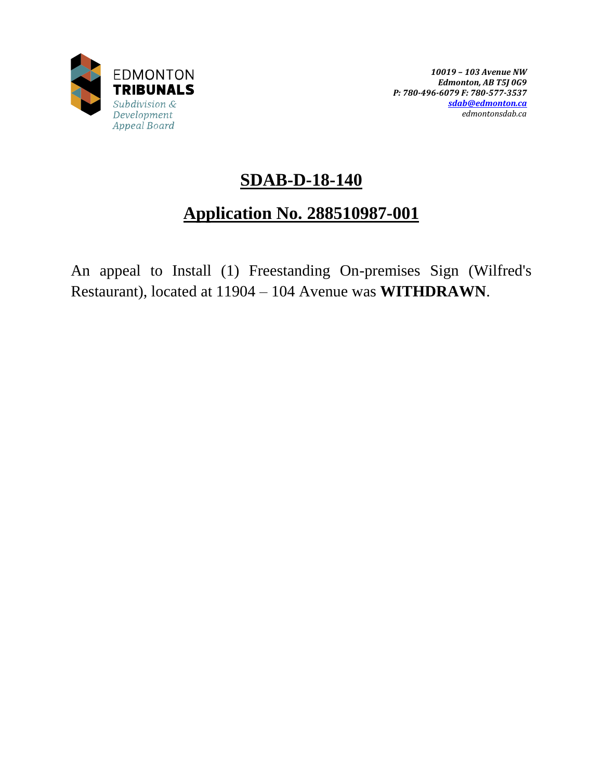

# **SDAB-D-18-140**

# **Application No. 288510987-001**

An appeal to Install (1) Freestanding On-premises Sign (Wilfred's Restaurant), located at 11904 – 104 Avenue was **WITHDRAWN**.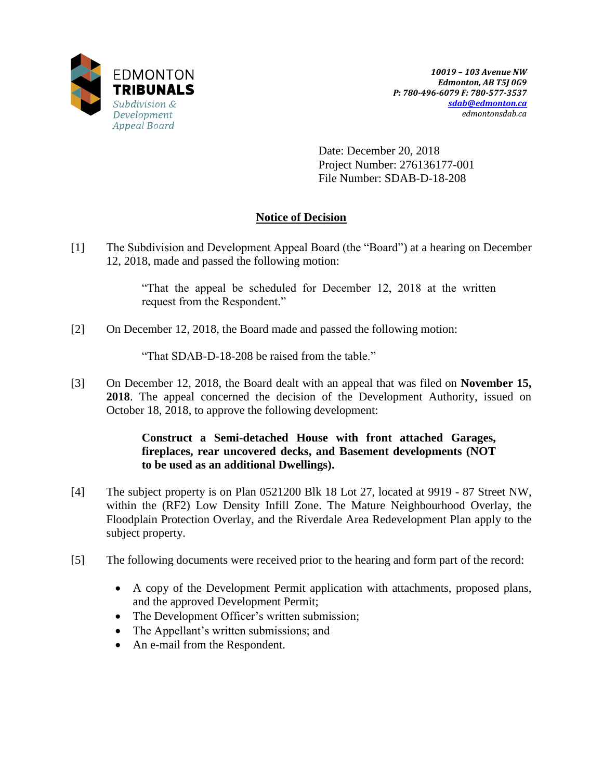

Date: December 20, 2018 Project Number: 276136177-001 File Number: SDAB-D-18-208

## **Notice of Decision**

[1] The Subdivision and Development Appeal Board (the "Board") at a hearing on December 12, 2018, made and passed the following motion:

> "That the appeal be scheduled for December 12, 2018 at the written request from the Respondent."

[2] On December 12, 2018, the Board made and passed the following motion:

"That SDAB-D-18-208 be raised from the table."

[3] On December 12, 2018, the Board dealt with an appeal that was filed on **November 15, 2018**. The appeal concerned the decision of the Development Authority, issued on October 18, 2018, to approve the following development:

> **Construct a Semi-detached House with front attached Garages, fireplaces, rear uncovered decks, and Basement developments (NOT to be used as an additional Dwellings).**

- [4] The subject property is on Plan 0521200 Blk 18 Lot 27, located at 9919 87 Street NW, within the (RF2) Low Density Infill Zone. The Mature Neighbourhood Overlay, the Floodplain Protection Overlay, and the Riverdale Area Redevelopment Plan apply to the subject property.
- [5] The following documents were received prior to the hearing and form part of the record:
	- A copy of the Development Permit application with attachments, proposed plans, and the approved Development Permit;
	- The Development Officer's written submission;
	- The Appellant's written submissions; and
	- An e-mail from the Respondent.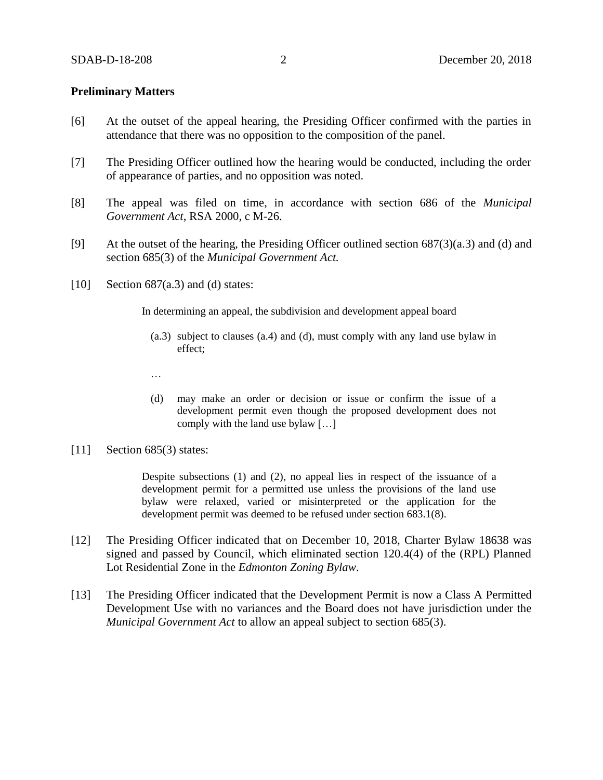### **Preliminary Matters**

- [6] At the outset of the appeal hearing, the Presiding Officer confirmed with the parties in attendance that there was no opposition to the composition of the panel.
- [7] The Presiding Officer outlined how the hearing would be conducted, including the order of appearance of parties, and no opposition was noted.
- [8] The appeal was filed on time, in accordance with section 686 of the *Municipal Government Act*, RSA 2000, c M-26.
- [9] At the outset of the hearing, the Presiding Officer outlined section 687(3)(a.3) and (d) and section 685(3) of the *Municipal Government Act.*
- [10] Section  $687(a.3)$  and (d) states:

In determining an appeal, the subdivision and development appeal board

- (a.3) subject to clauses (a.4) and (d), must comply with any land use bylaw in effect;
- …
- (d) may make an order or decision or issue or confirm the issue of a development permit even though the proposed development does not comply with the land use bylaw […]
- [11] Section 685(3) states:

Despite subsections (1) and (2), no appeal lies in respect of the issuance of a development permit for a permitted use unless the provisions of the land use bylaw were relaxed, varied or misinterpreted or the application for the development permit was deemed to be refused under section 683.1(8).

- [12] The Presiding Officer indicated that on December 10, 2018, Charter Bylaw 18638 was signed and passed by Council, which eliminated section 120.4(4) of the (RPL) Planned Lot Residential Zone in the *Edmonton Zoning Bylaw*.
- [13] The Presiding Officer indicated that the Development Permit is now a Class A Permitted Development Use with no variances and the Board does not have jurisdiction under the *Municipal Government Act* to allow an appeal subject to section 685(3).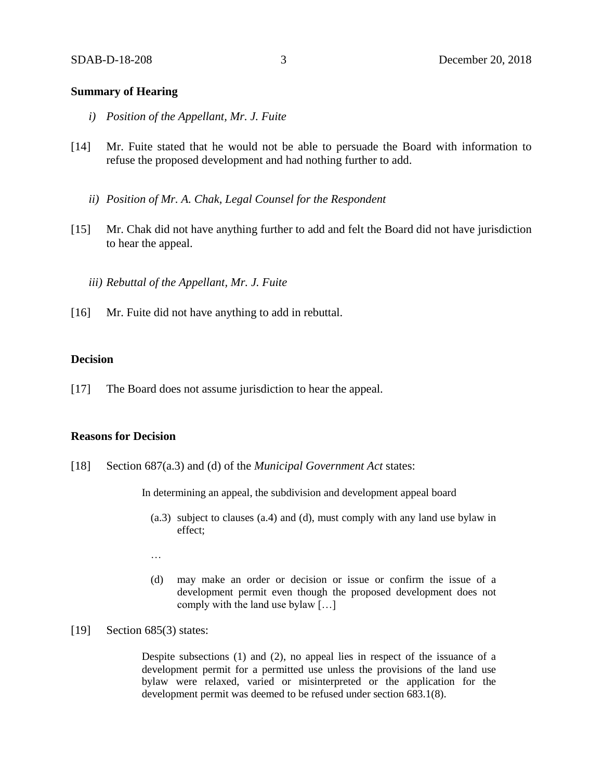### **Summary of Hearing**

- *i) Position of the Appellant, Mr. J. Fuite*
- [14] Mr. Fuite stated that he would not be able to persuade the Board with information to refuse the proposed development and had nothing further to add.
	- *ii) Position of Mr. A. Chak, Legal Counsel for the Respondent*
- [15] Mr. Chak did not have anything further to add and felt the Board did not have jurisdiction to hear the appeal.
	- *iii) Rebuttal of the Appellant, Mr. J. Fuite*
- [16] Mr. Fuite did not have anything to add in rebuttal.

### **Decision**

[17] The Board does not assume jurisdiction to hear the appeal.

### **Reasons for Decision**

[18] Section 687(a.3) and (d) of the *Municipal Government Act* states:

In determining an appeal, the subdivision and development appeal board

- (a.3) subject to clauses (a.4) and (d), must comply with any land use bylaw in effect;
- …
- (d) may make an order or decision or issue or confirm the issue of a development permit even though the proposed development does not comply with the land use bylaw […]

#### [19] Section 685(3) states:

Despite subsections (1) and (2), no appeal lies in respect of the issuance of a development permit for a permitted use unless the provisions of the land use bylaw were relaxed, varied or misinterpreted or the application for the development permit was deemed to be refused under section 683.1(8).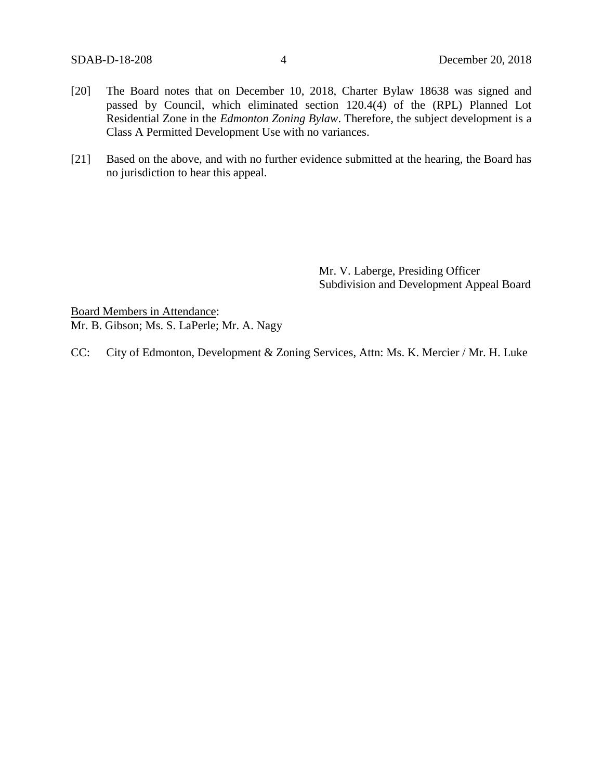- [20] The Board notes that on December 10, 2018, Charter Bylaw 18638 was signed and passed by Council, which eliminated section 120.4(4) of the (RPL) Planned Lot Residential Zone in the *Edmonton Zoning Bylaw*. Therefore, the subject development is a Class A Permitted Development Use with no variances.
- [21] Based on the above, and with no further evidence submitted at the hearing, the Board has no jurisdiction to hear this appeal.

Mr. V. Laberge, Presiding Officer Subdivision and Development Appeal Board

Board Members in Attendance: Mr. B. Gibson; Ms. S. LaPerle; Mr. A. Nagy

CC: City of Edmonton, Development & Zoning Services, Attn: Ms. K. Mercier / Mr. H. Luke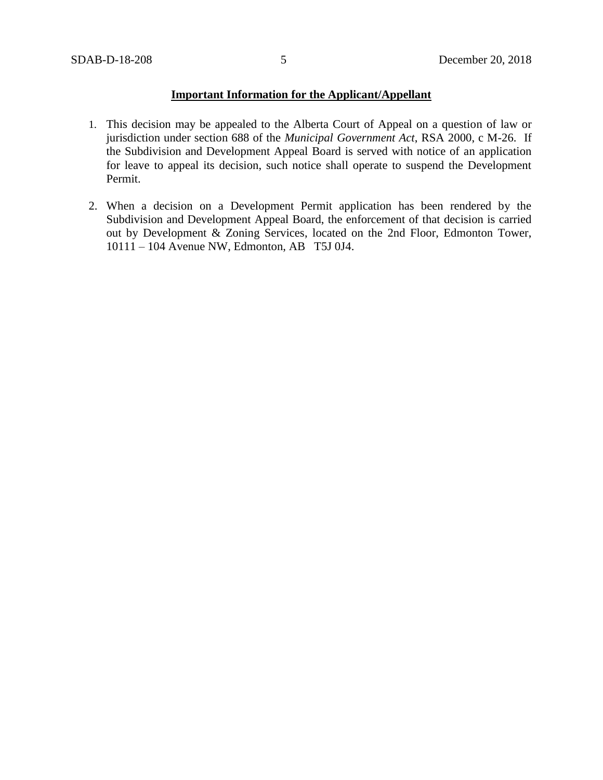### **Important Information for the Applicant/Appellant**

- 1. This decision may be appealed to the Alberta Court of Appeal on a question of law or jurisdiction under section 688 of the *Municipal Government Act*, RSA 2000, c M-26. If the Subdivision and Development Appeal Board is served with notice of an application for leave to appeal its decision, such notice shall operate to suspend the Development Permit.
- 2. When a decision on a Development Permit application has been rendered by the Subdivision and Development Appeal Board, the enforcement of that decision is carried out by Development & Zoning Services, located on the 2nd Floor, Edmonton Tower, 10111 – 104 Avenue NW, Edmonton, AB T5J 0J4.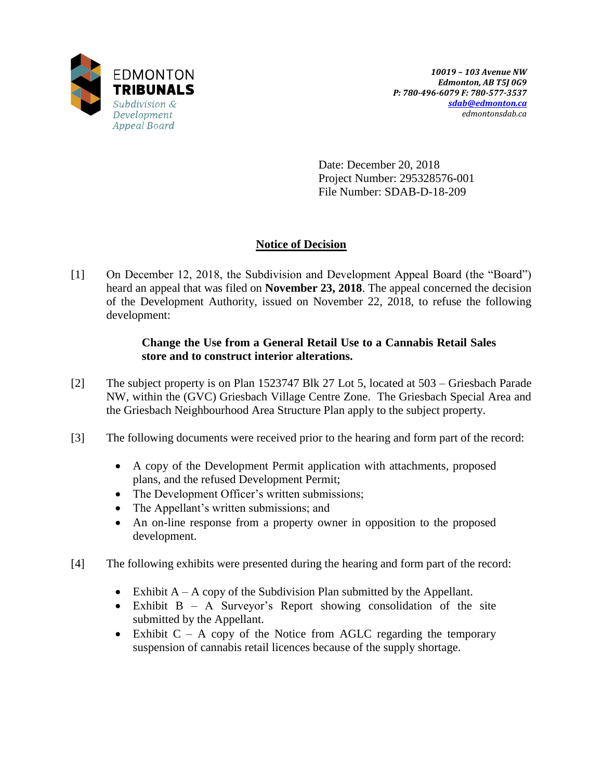

Date: December 20, 2018 Project Number: 295328576-001 File Number: SDAB-D-18-209

## **Notice of Decision**

[1] On December 12, 2018, the Subdivision and Development Appeal Board (the "Board") heard an appeal that was filed on **November 23, 2018**. The appeal concerned the decision of the Development Authority, issued on November 22, 2018, to refuse the following development:

### **Change the Use from a General Retail Use to a Cannabis Retail Sales store and to construct interior alterations.**

- [2] The subject property is on Plan 1523747 Blk 27 Lot 5, located at 503 Griesbach Parade NW, within the (GVC) Griesbach Village Centre Zone. The Griesbach Special Area and the Griesbach Neighbourhood Area Structure Plan apply to the subject property.
- [3] The following documents were received prior to the hearing and form part of the record:
	- A copy of the Development Permit application with attachments, proposed plans, and the refused Development Permit;
	- The Development Officer's written submissions;
	- The Appellant's written submissions; and
	- An on-line response from a property owner in opposition to the proposed development.
- [4] The following exhibits were presented during the hearing and form part of the record:
	- Exhibit  $A A$  copy of the Subdivision Plan submitted by the Appellant.
	- Exhibit B A Surveyor's Report showing consolidation of the site submitted by the Appellant.
	- Exhibit  $C A$  copy of the Notice from AGLC regarding the temporary suspension of cannabis retail licences because of the supply shortage.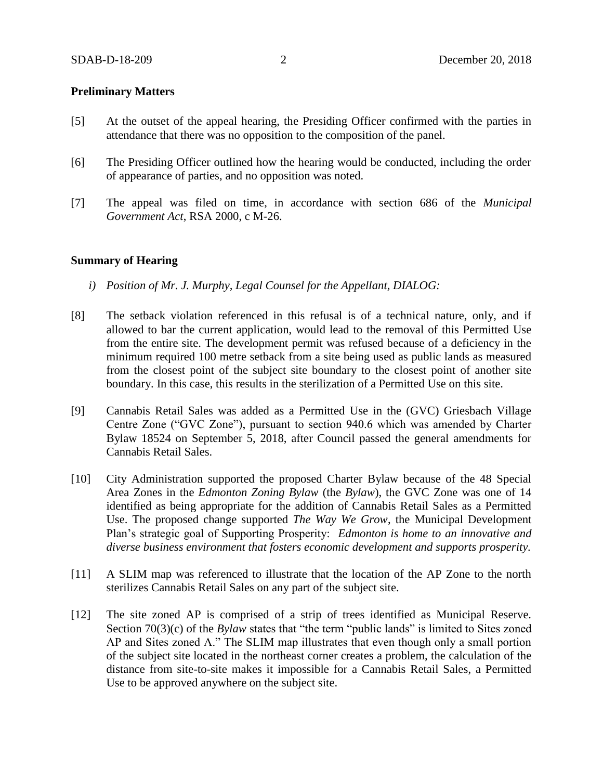### **Preliminary Matters**

- [5] At the outset of the appeal hearing, the Presiding Officer confirmed with the parties in attendance that there was no opposition to the composition of the panel.
- [6] The Presiding Officer outlined how the hearing would be conducted, including the order of appearance of parties, and no opposition was noted.
- [7] The appeal was filed on time, in accordance with section 686 of the *Municipal Government Act*, RSA 2000, c M-26.

### **Summary of Hearing**

- *i) Position of Mr. J. Murphy, Legal Counsel for the Appellant, DIALOG:*
- [8] The setback violation referenced in this refusal is of a technical nature, only, and if allowed to bar the current application, would lead to the removal of this Permitted Use from the entire site. The development permit was refused because of a deficiency in the minimum required 100 metre setback from a site being used as public lands as measured from the closest point of the subject site boundary to the closest point of another site boundary. In this case, this results in the sterilization of a Permitted Use on this site.
- [9] Cannabis Retail Sales was added as a Permitted Use in the (GVC) Griesbach Village Centre Zone ("GVC Zone"), pursuant to section 940.6 which was amended by Charter Bylaw 18524 on September 5, 2018, after Council passed the general amendments for Cannabis Retail Sales.
- [10] City Administration supported the proposed Charter Bylaw because of the 48 Special Area Zones in the *Edmonton Zoning Bylaw* (the *Bylaw*), the GVC Zone was one of 14 identified as being appropriate for the addition of Cannabis Retail Sales as a Permitted Use. The proposed change supported *The Way We Grow*, the Municipal Development Plan's strategic goal of Supporting Prosperity: *Edmonton is home to an innovative and diverse business environment that fosters economic development and supports prosperity.*
- [11] A SLIM map was referenced to illustrate that the location of the AP Zone to the north sterilizes Cannabis Retail Sales on any part of the subject site.
- [12] The site zoned AP is comprised of a strip of trees identified as Municipal Reserve. Section 70(3)(c) of the *Bylaw* states that "the term "public lands" is limited to Sites zoned AP and Sites zoned A." The SLIM map illustrates that even though only a small portion of the subject site located in the northeast corner creates a problem, the calculation of the distance from site-to-site makes it impossible for a Cannabis Retail Sales, a Permitted Use to be approved anywhere on the subject site.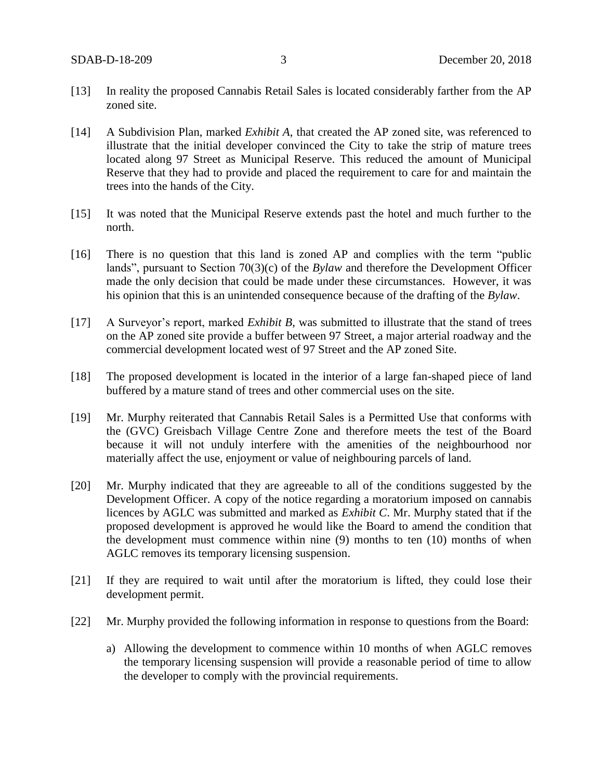- [13] In reality the proposed Cannabis Retail Sales is located considerably farther from the AP zoned site.
- [14] A Subdivision Plan, marked *Exhibit A*, that created the AP zoned site, was referenced to illustrate that the initial developer convinced the City to take the strip of mature trees located along 97 Street as Municipal Reserve. This reduced the amount of Municipal Reserve that they had to provide and placed the requirement to care for and maintain the trees into the hands of the City.
- [15] It was noted that the Municipal Reserve extends past the hotel and much further to the north.
- [16] There is no question that this land is zoned AP and complies with the term "public lands", pursuant to Section 70(3)(c) of the *Bylaw* and therefore the Development Officer made the only decision that could be made under these circumstances. However, it was his opinion that this is an unintended consequence because of the drafting of the *Bylaw*.
- [17] A Surveyor's report, marked *Exhibit B*, was submitted to illustrate that the stand of trees on the AP zoned site provide a buffer between 97 Street, a major arterial roadway and the commercial development located west of 97 Street and the AP zoned Site.
- [18] The proposed development is located in the interior of a large fan-shaped piece of land buffered by a mature stand of trees and other commercial uses on the site.
- [19] Mr. Murphy reiterated that Cannabis Retail Sales is a Permitted Use that conforms with the (GVC) Greisbach Village Centre Zone and therefore meets the test of the Board because it will not unduly interfere with the amenities of the neighbourhood nor materially affect the use, enjoyment or value of neighbouring parcels of land.
- [20] Mr. Murphy indicated that they are agreeable to all of the conditions suggested by the Development Officer. A copy of the notice regarding a moratorium imposed on cannabis licences by AGLC was submitted and marked as *Exhibit C*. Mr. Murphy stated that if the proposed development is approved he would like the Board to amend the condition that the development must commence within nine (9) months to ten (10) months of when AGLC removes its temporary licensing suspension.
- [21] If they are required to wait until after the moratorium is lifted, they could lose their development permit.
- [22] Mr. Murphy provided the following information in response to questions from the Board:
	- a) Allowing the development to commence within 10 months of when AGLC removes the temporary licensing suspension will provide a reasonable period of time to allow the developer to comply with the provincial requirements.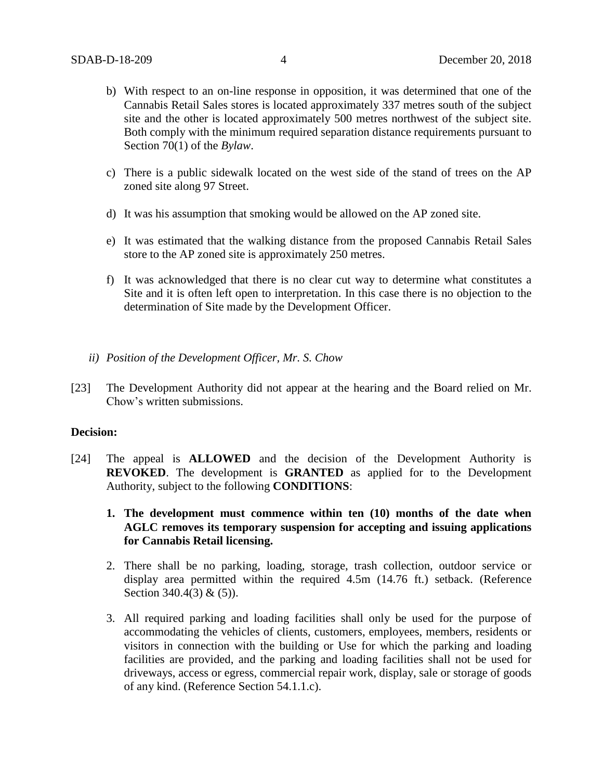- b) With respect to an on-line response in opposition, it was determined that one of the Cannabis Retail Sales stores is located approximately 337 metres south of the subject site and the other is located approximately 500 metres northwest of the subject site. Both comply with the minimum required separation distance requirements pursuant to Section 70(1) of the *Bylaw*.
- c) There is a public sidewalk located on the west side of the stand of trees on the AP zoned site along 97 Street.
- d) It was his assumption that smoking would be allowed on the AP zoned site.
- e) It was estimated that the walking distance from the proposed Cannabis Retail Sales store to the AP zoned site is approximately 250 metres.
- f) It was acknowledged that there is no clear cut way to determine what constitutes a Site and it is often left open to interpretation. In this case there is no objection to the determination of Site made by the Development Officer.
- *ii) Position of the Development Officer, Mr. S. Chow*
- [23] The Development Authority did not appear at the hearing and the Board relied on Mr. Chow's written submissions.

### **Decision:**

- [24] The appeal is **ALLOWED** and the decision of the Development Authority is **REVOKED**. The development is **GRANTED** as applied for to the Development Authority, subject to the following **CONDITIONS**:
	- **1. The development must commence within ten (10) months of the date when AGLC removes its temporary suspension for accepting and issuing applications for Cannabis Retail licensing.**
	- 2. There shall be no parking, loading, storage, trash collection, outdoor service or display area permitted within the required 4.5m (14.76 ft.) setback. (Reference Section 340.4(3) & (5)).
	- 3. All required parking and loading facilities shall only be used for the purpose of accommodating the vehicles of clients, customers, employees, members, residents or visitors in connection with the building or Use for which the parking and loading facilities are provided, and the parking and loading facilities shall not be used for driveways, access or egress, commercial repair work, display, sale or storage of goods of any kind. (Reference Section 54.1.1.c).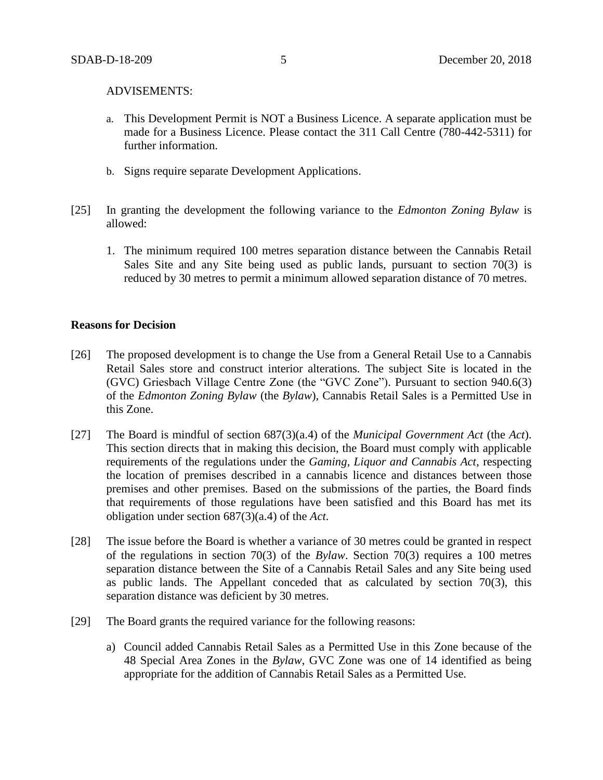#### ADVISEMENTS:

- a. This Development Permit is NOT a Business Licence. A separate application must be made for a Business Licence. Please contact the 311 Call Centre (780-442-5311) for further information.
- b. Signs require separate Development Applications.
- [25] In granting the development the following variance to the *Edmonton Zoning Bylaw* is allowed:
	- 1. The minimum required 100 metres separation distance between the Cannabis Retail Sales Site and any Site being used as public lands, pursuant to section 70(3) is reduced by 30 metres to permit a minimum allowed separation distance of 70 metres.

### **Reasons for Decision**

- [26] The proposed development is to change the Use from a General Retail Use to a Cannabis Retail Sales store and construct interior alterations. The subject Site is located in the (GVC) Griesbach Village Centre Zone (the "GVC Zone"). Pursuant to section 940.6(3) of the *Edmonton Zoning Bylaw* (the *Bylaw*), Cannabis Retail Sales is a Permitted Use in this Zone.
- [27] The Board is mindful of section 687(3)(a.4) of the *Municipal Government Act* (the *Act*). This section directs that in making this decision, the Board must comply with applicable requirements of the regulations under the *Gaming, Liquor and Cannabis Act*, respecting the location of premises described in a cannabis licence and distances between those premises and other premises. Based on the submissions of the parties, the Board finds that requirements of those regulations have been satisfied and this Board has met its obligation under section 687(3)(a.4) of the *Act*.
- [28] The issue before the Board is whether a variance of 30 metres could be granted in respect of the regulations in section 70(3) of the *Bylaw*. Section 70(3) requires a 100 metres separation distance between the Site of a Cannabis Retail Sales and any Site being used as public lands. The Appellant conceded that as calculated by section 70(3), this separation distance was deficient by 30 metres.
- [29] The Board grants the required variance for the following reasons:
	- a) Council added Cannabis Retail Sales as a Permitted Use in this Zone because of the 48 Special Area Zones in the *Bylaw*, GVC Zone was one of 14 identified as being appropriate for the addition of Cannabis Retail Sales as a Permitted Use.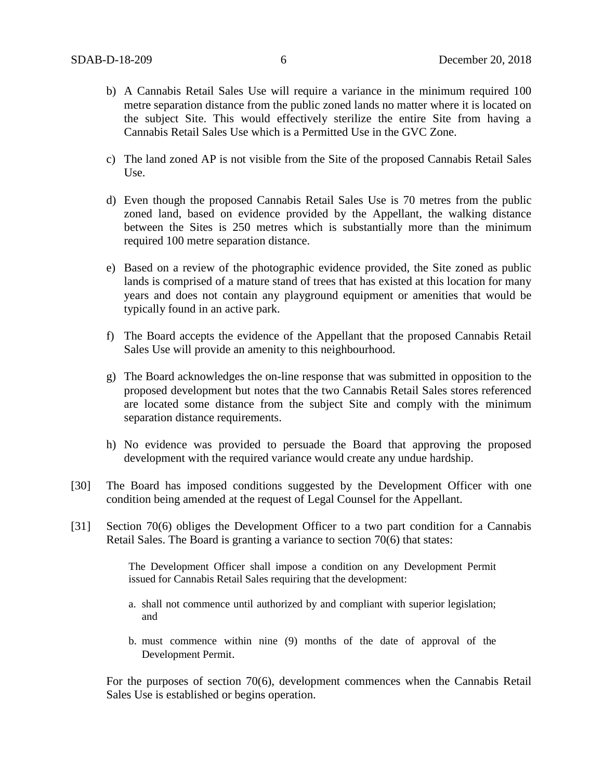- b) A Cannabis Retail Sales Use will require a variance in the minimum required 100 metre separation distance from the public zoned lands no matter where it is located on the subject Site. This would effectively sterilize the entire Site from having a Cannabis Retail Sales Use which is a Permitted Use in the GVC Zone.
- c) The land zoned AP is not visible from the Site of the proposed Cannabis Retail Sales Use.
- d) Even though the proposed Cannabis Retail Sales Use is 70 metres from the public zoned land, based on evidence provided by the Appellant, the walking distance between the Sites is 250 metres which is substantially more than the minimum required 100 metre separation distance.
- e) Based on a review of the photographic evidence provided, the Site zoned as public lands is comprised of a mature stand of trees that has existed at this location for many years and does not contain any playground equipment or amenities that would be typically found in an active park.
- f) The Board accepts the evidence of the Appellant that the proposed Cannabis Retail Sales Use will provide an amenity to this neighbourhood.
- g) The Board acknowledges the on-line response that was submitted in opposition to the proposed development but notes that the two Cannabis Retail Sales stores referenced are located some distance from the subject Site and comply with the minimum separation distance requirements.
- h) No evidence was provided to persuade the Board that approving the proposed development with the required variance would create any undue hardship.
- [30] The Board has imposed conditions suggested by the Development Officer with one condition being amended at the request of Legal Counsel for the Appellant.
- [31] Section 70(6) obliges the Development Officer to a two part condition for a Cannabis Retail Sales. The Board is granting a variance to section 70(6) that states:

The Development Officer shall impose a condition on any Development Permit issued for Cannabis Retail Sales requiring that the development:

- a. shall not commence until authorized by and compliant with superior legislation; and
- b. must commence within nine (9) months of the date of approval of the Development Permit.

For the purposes of section 70(6), development commences when the Cannabis Retail Sales Use is established or begins operation.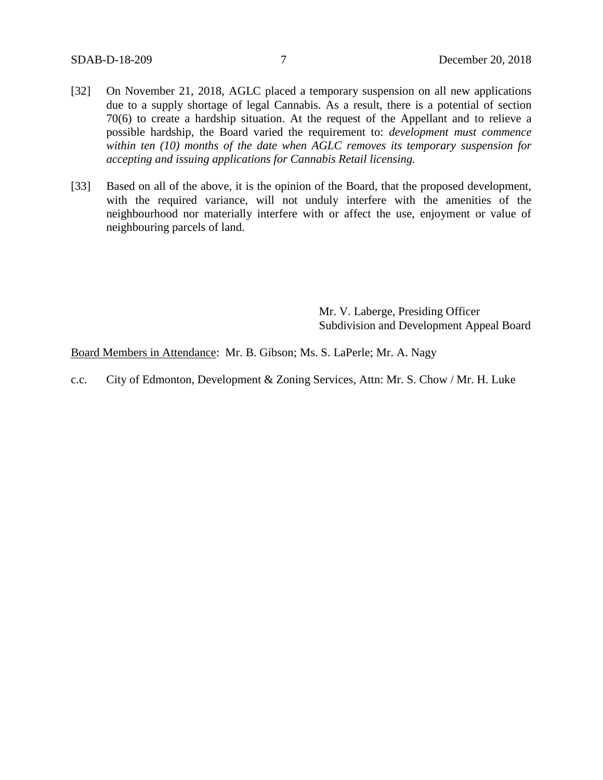- [32] On November 21, 2018, AGLC placed a temporary suspension on all new applications due to a supply shortage of legal Cannabis. As a result, there is a potential of section 70(6) to create a hardship situation. At the request of the Appellant and to relieve a possible hardship, the Board varied the requirement to: *development must commence within ten (10) months of the date when AGLC removes its temporary suspension for accepting and issuing applications for Cannabis Retail licensing.*
- [33] Based on all of the above, it is the opinion of the Board, that the proposed development, with the required variance, will not unduly interfere with the amenities of the neighbourhood nor materially interfere with or affect the use, enjoyment or value of neighbouring parcels of land.

Mr. V. Laberge, Presiding Officer Subdivision and Development Appeal Board

Board Members in Attendance: Mr. B. Gibson; Ms. S. LaPerle; Mr. A. Nagy

c.c. City of Edmonton, Development & Zoning Services, Attn: Mr. S. Chow / Mr. H. Luke